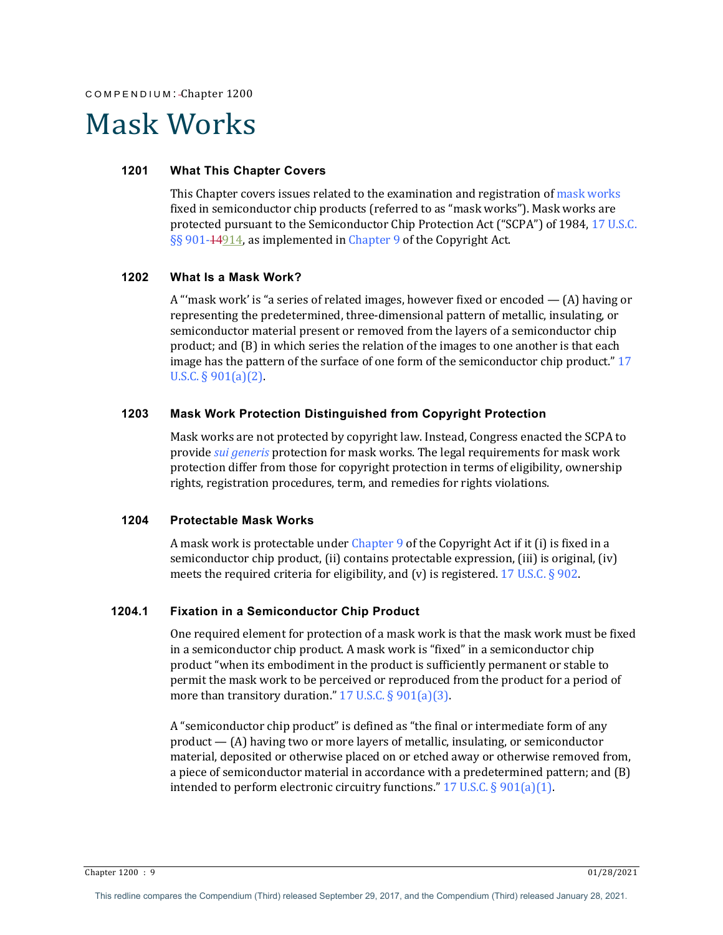# Mask Works

## **1201 What This Chapter Covers**

This Chapter covers issues related to the examination and registration of mask works fixed in semiconductor chip products (referred to as "mask works"). Mask works are protected pursuant to the Semiconductor Chip Protection Act ("SCPA") of 1984, 17 U.S.C. §§ 901-14914, as implemented in Chapter 9 of the Copyright Act.

#### **1202 What Is a Mask Work?**

A "'mask work' is "a series of related images, however fixed or encoded  $-$  (A) having or representing the predetermined, three-dimensional pattern of metallic, insulating, or semiconductor material present or removed from the layers of a semiconductor chip product; and  $(B)$  in which series the relation of the images to one another is that each image has the pattern of the surface of one form of the semiconductor chip product."  $17$ U.S.C.  $\S 901(a)(2)$ .

## **1203 Mask Work Protection Distinguished from Copyright Protection**

Mask works are not protected by copyright law. Instead, Congress enacted the SCPA to provide *sui generis* protection for mask works. The legal requirements for mask work protection differ from those for copyright protection in terms of eligibility, ownership rights, registration procedures, term, and remedies for rights violations.

# **1204 Protectable Mask Works**

A mask work is protectable under Chapter 9 of the Copyright Act if it (i) is fixed in a semiconductor chip product, (ii) contains protectable expression, (iii) is original, (iv) meets the required criteria for eligibility, and (v) is registered. 17 U.S.C.  $\S$  902.

# **1204.1 Fixation in a Semiconductor Chip Product**

One required element for protection of a mask work is that the mask work must be fixed in a semiconductor chip product. A mask work is "fixed" in a semiconductor chip product "when its embodiment in the product is sufficiently permanent or stable to permit the mask work to be perceived or reproduced from the product for a period of more than transitory duration."  $17$  U.S.C. § 901(a)(3).

A "semiconductor chip product" is defined as "the final or intermediate form of any product  $-$  (A) having two or more layers of metallic, insulating, or semiconductor material, deposited or otherwise placed on or etched away or otherwise removed from, a piece of semiconductor material in accordance with a predetermined pattern; and  $(B)$ intended to perform electronic circuitry functions." 17 U.S.C.  $\S 901(a)(1)$ .

 $\frac{1}{28/2021}$  Chapter 1200 : 9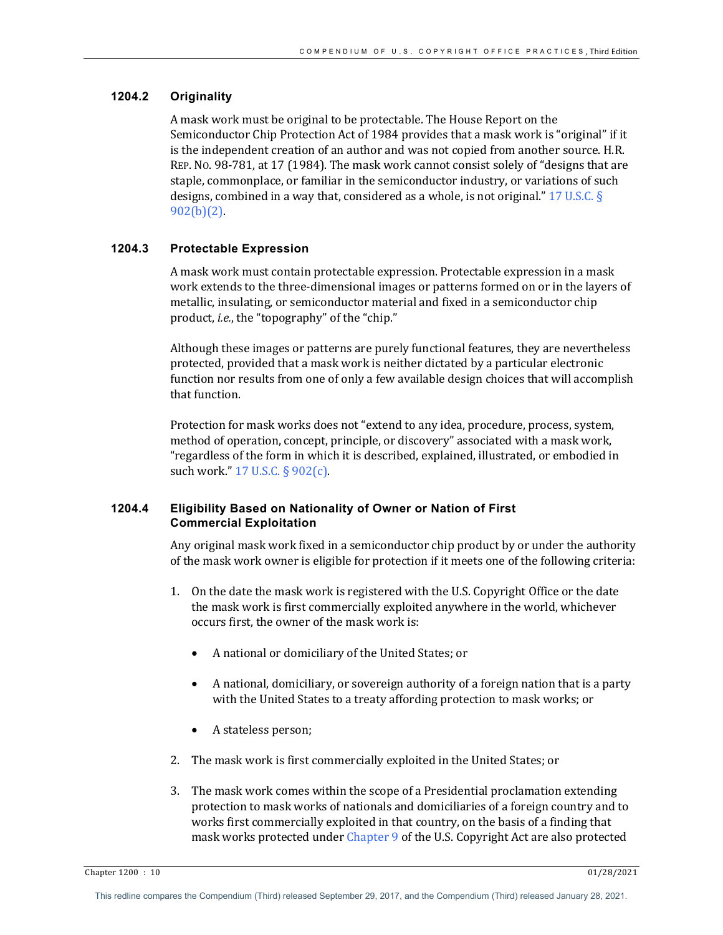# **1204.2 Originality**

A mask work must be original to be protectable. The House Report on the Semiconductor Chip Protection Act of 1984 provides that a mask work is "original" if it is the independent creation of an author and was not copied from another source. H.R. REP. No. 98-781, at 17 (1984). The mask work cannot consist solely of "designs that are staple, commonplace, or familiar in the semiconductor industry, or variations of such designs, combined in a way that, considered as a whole, is not original." 17 U.S.C.  $\S$  $902(b)(2)$ .

#### **1204.3 Protectable Expression**

A mask work must contain protectable expression. Protectable expression in a mask work extends to the three-dimensional images or patterns formed on or in the layers of metallic, insulating, or semiconductor material and fixed in a semiconductor chip product, *i.e.*, the "topography" of the "chip."

Although these images or patterns are purely functional features, they are nevertheless protected, provided that a mask work is neither dictated by a particular electronic function nor results from one of only a few available design choices that will accomplish that function.

Protection for mask works does not "extend to any idea, procedure, process, system, method of operation, concept, principle, or discovery" associated with a mask work, "regardless of the form in which it is described, explained, illustrated, or embodied in such work."  $17$  U.S.C.  $\S 902(c)$ .

## **1204.4 Eligibility Based on Nationality of Owner or Nation of First Commercial Exploitation**

Any original mask work fixed in a semiconductor chip product by or under the authority of the mask work owner is eligible for protection if it meets one of the following criteria:

- 1. On the date the mask work is registered with the U.S. Copyright Office or the date the mask work is first commercially exploited anywhere in the world, whichever occurs first, the owner of the mask work is:
	- A national or domiciliary of the United States; or
	- A national, domiciliary, or sovereign authority of a foreign nation that is a party with the United States to a treaty affording protection to mask works; or
	- A stateless person;
- 2. The mask work is first commercially exploited in the United States; or
- 3. The mask work comes within the scope of a Presidential proclamation extending protection to mask works of nationals and domiciliaries of a foreign country and to works first commercially exploited in that country, on the basis of a finding that mask works protected under Chapter 9 of the U.S. Copyright Act are also protected

Chapter 1200 : 10 01/28/2021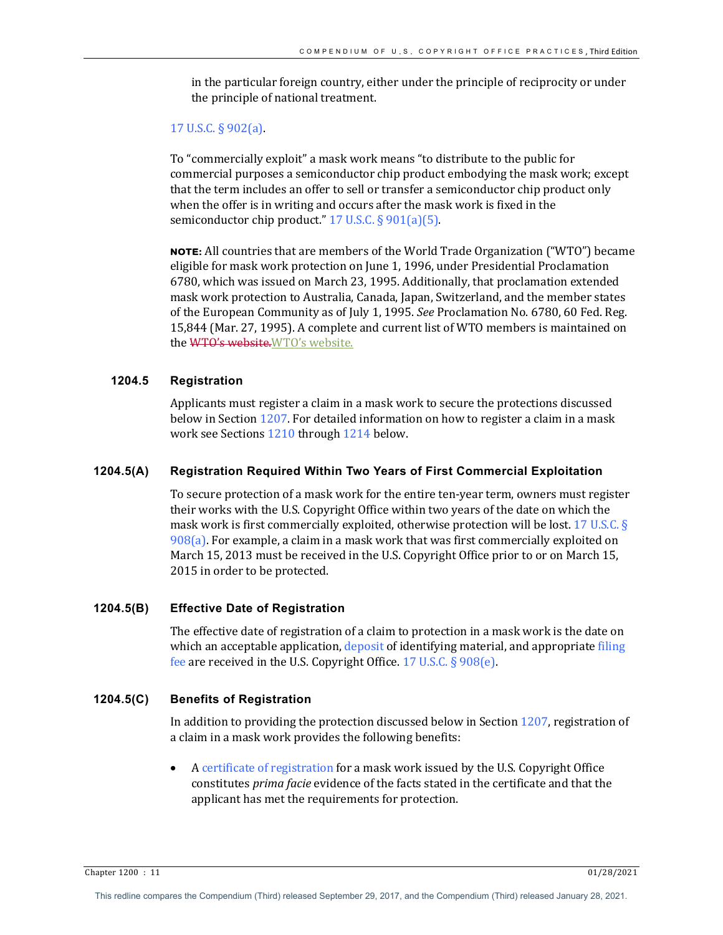in the particular foreign country, either under the principle of reciprocity or under the principle of national treatment.

#### 17 U.S.C.  $\S 902(a)$ .

To "commercially exploit" a mask work means "to distribute to the public for commercial purposes a semiconductor chip product embodying the mask work; except that the term includes an offer to sell or transfer a semiconductor chip product only when the offer is in writing and occurs after the mask work is fixed in the semiconductor chip product."  $17$  U.S.C. § 901(a)(5).

**NOTE:** All countries that are members of the World Trade Organization ("WTO") became eligible for mask work protection on June 1, 1996, under Presidential Proclamation 6780, which was issued on March 23, 1995. Additionally, that proclamation extended mask work protection to Australia, Canada, Japan, Switzerland, and the member states of the European Community as of July 1, 1995. *See* Proclamation No. 6780, 60 Fed. Reg. 15,844 (Mar. 27, 1995). A complete and current list of WTO members is maintained on the WTO's website. WTO's website.

## **1204.5 Registration**

Applicants must register a claim in a mask work to secure the protections discussed below in Section  $1207$ . For detailed information on how to register a claim in a mask work see Sections 1210 through 1214 below.

## **1204.5(A) Registration Required Within Two Years of First Commercial Exploitation**

To secure protection of a mask work for the entire ten-year term, owners must register their works with the U.S. Copyright Office within two years of the date on which the mask work is first commercially exploited, otherwise protection will be lost. 17 U.S.C. §  $908(a)$ . For example, a claim in a mask work that was first commercially exploited on March 15, 2013 must be received in the U.S. Copyright Office prior to or on March 15, 2015 in order to be protected.

## **1204.5(B) Effective Date of Registration**

The effective date of registration of a claim to protection in a mask work is the date on which an acceptable application, deposit of identifying material, and appropriate filing fee are received in the U.S. Copyright Office.  $17$  U.S.C. §  $908(e)$ .

## **1204.5(C) Benefits of Registration**

In addition to providing the protection discussed below in Section  $1207$ , registration of a claim in a mask work provides the following benefits:

A certificate of registration for a mask work issued by the U.S. Copyright Office constitutes *prima facie* evidence of the facts stated in the certificate and that the applicant has met the requirements for protection.

 $\frac{C_{\text{L}}}{C_{\text{L}}}\left(1/28/2021\right)$   $\frac{01}{28/2021}$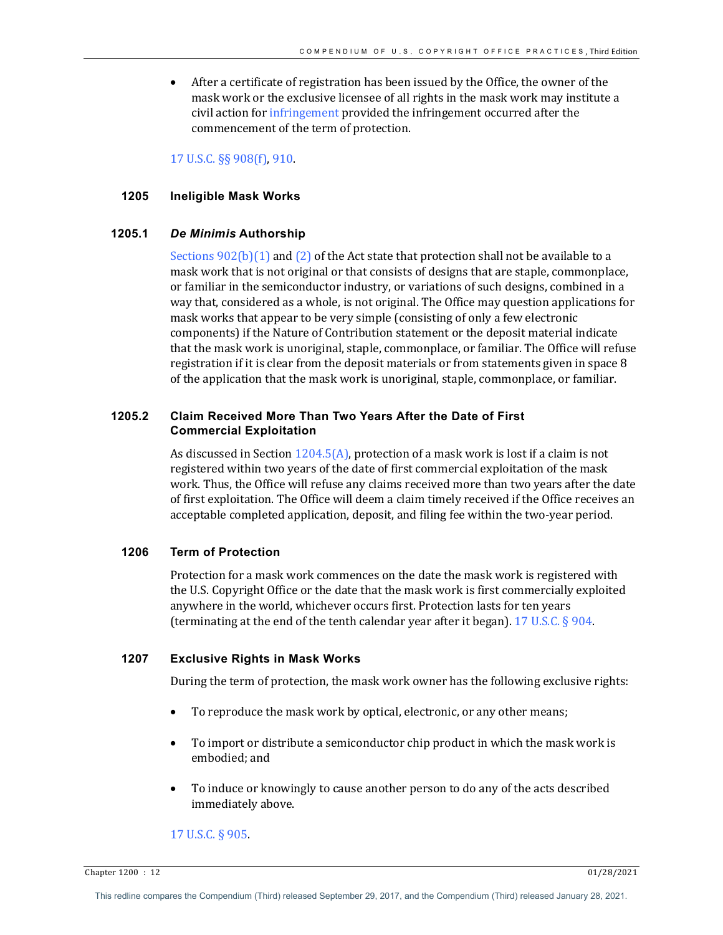• After a certificate of registration has been issued by the Office, the owner of the mask work or the exclusive licensee of all rights in the mask work may institute a civil action for infringement provided the infringement occurred after the commencement of the term of protection.

17 U.S.C. §§ 908(f), 910.

## **1205 Ineligible Mask Works**

# **1205.1** *De Minimis* **Authorship**

Sections  $902(b)(1)$  and  $(2)$  of the Act state that protection shall not be available to a mask work that is not original or that consists of designs that are staple, commonplace, or familiar in the semiconductor industry, or variations of such designs, combined in a way that, considered as a whole, is not original. The Office may question applications for mask works that appear to be very simple (consisting of only a few electronic components) if the Nature of Contribution statement or the deposit material indicate that the mask work is unoriginal, staple, commonplace, or familiar. The Office will refuse registration if it is clear from the deposit materials or from statements given in space  $8$ of the application that the mask work is unoriginal, staple, commonplace, or familiar.

# **1205.2 Claim Received More Than Two Years After the Date of First Commercial Exploitation**

As discussed in Section  $1204.5(A)$ , protection of a mask work is lost if a claim is not registered within two years of the date of first commercial exploitation of the mask work. Thus, the Office will refuse any claims received more than two years after the date of first exploitation. The Office will deem a claim timely received if the Office receives an acceptable completed application, deposit, and filing fee within the two-year period.

# **1206 Term of Protection**

Protection for a mask work commences on the date the mask work is registered with the U.S. Copyright Office or the date that the mask work is first commercially exploited anywhere in the world, whichever occurs first. Protection lasts for ten years (terminating at the end of the tenth calendar year after it began). 17 U.S.C.  $\S$  904.

## **1207 Exclusive Rights in Mask Works**

During the term of protection, the mask work owner has the following exclusive rights:

- To reproduce the mask work by optical, electronic, or any other means;
- To import or distribute a semiconductor chip product in which the mask work is embodied; and
- To induce or knowingly to cause another person to do any of the acts described immediately above.

## 17 U.S.C. § 905.

 $\frac{1}{28/2021}$  Chapter 1200 : 12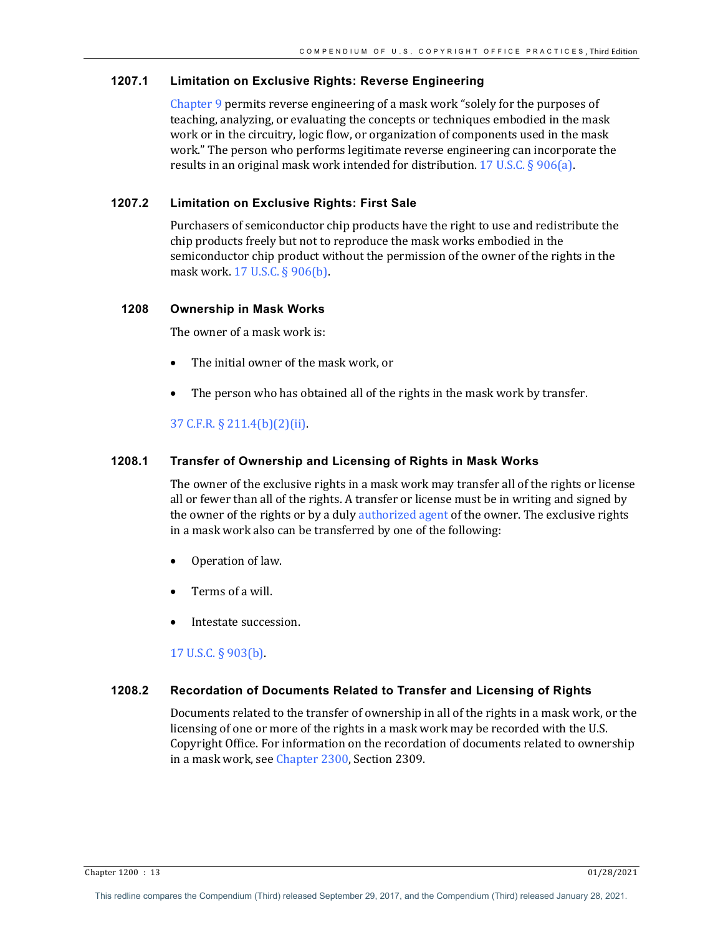## **1207.1 Limitation on Exclusive Rights: Reverse Engineering**

Chapter 9 permits reverse engineering of a mask work "solely for the purposes of teaching, analyzing, or evaluating the concepts or techniques embodied in the mask work or in the circuitry, logic flow, or organization of components used in the mask work." The person who performs legitimate reverse engineering can incorporate the results in an original mask work intended for distribution. 17 U.S.C.  $\S 906(a)$ .

# **1207.2 Limitation on Exclusive Rights: First Sale**

Purchasers of semiconductor chip products have the right to use and redistribute the chip products freely but not to reproduce the mask works embodied in the semiconductor chip product without the permission of the owner of the rights in the mask work. 17 U.S.C. § 906(b).

## **1208 Ownership in Mask Works**

The owner of a mask work is:

- The initial owner of the mask work, or
- The person who has obtained all of the rights in the mask work by transfer.

# 37 C.F.R. § 211.4(b)(2)(ii).

## **1208.1 Transfer of Ownership and Licensing of Rights in Mask Works**

The owner of the exclusive rights in a mask work may transfer all of the rights or license all or fewer than all of the rights. A transfer or license must be in writing and signed by the owner of the rights or by a duly authorized agent of the owner. The exclusive rights in a mask work also can be transferred by one of the following:

- Operation of law.
- Terms of a will.
- Intestate succession.

17 U.S.C. § 903(b).

# **1208.2 Recordation of Documents Related to Transfer and Licensing of Rights**

Documents related to the transfer of ownership in all of the rights in a mask work, or the licensing of one or more of the rights in a mask work may be recorded with the U.S. Copyright Office. For information on the recordation of documents related to ownership in a mask work, see Chapter 2300, Section 2309.

Chapter 1200 : 13 01/28/2021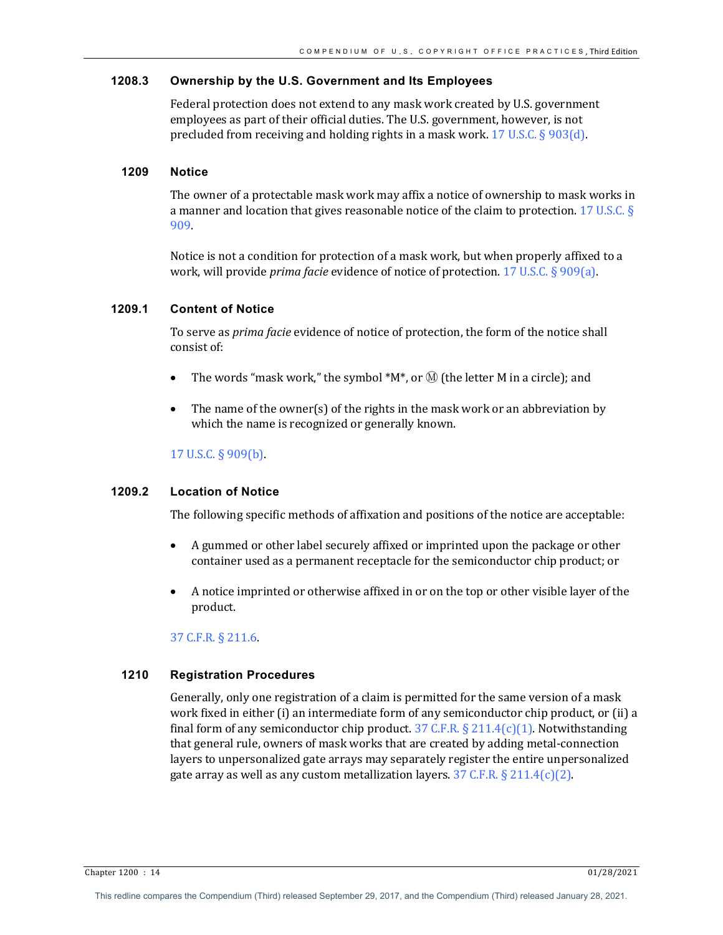## **1208.3 Ownership by the U.S. Government and Its Employees**

Federal protection does not extend to any mask work created by U.S. government employees as part of their official duties. The U.S. government, however, is not precluded from receiving and holding rights in a mask work.  $17 \text{ U.S.C.}$  § 903(d).

## **1209 Notice**

The owner of a protectable mask work may affix a notice of ownership to mask works in a manner and location that gives reasonable notice of the claim to protection. 17 U.S.C. § 909.

Notice is not a condition for protection of a mask work, but when properly affixed to a work, will provide *prima facie* evidence of notice of protection. 17 U.S.C. § 909(a).

#### **1209.1 Content of Notice**

To serve as *prima facie* evidence of notice of protection, the form of the notice shall consist of:

- The words "mask work," the symbol  $^*M^*$ , or  $\overline{M}$  (the letter M in a circle); and
- The name of the owner(s) of the rights in the mask work or an abbreviation by which the name is recognized or generally known.

## 17 U.S.C. § 909(b).

# **1209.2 Location of Notice**

The following specific methods of affixation and positions of the notice are acceptable:

- A gummed or other label securely affixed or imprinted upon the package or other container used as a permanent receptacle for the semiconductor chip product; or
- A notice imprinted or otherwise affixed in or on the top or other visible layer of the product.

#### 37 C.F.R. § 211.6.

# **1210 Registration Procedures**

Generally, only one registration of a claim is permitted for the same version of a mask work fixed in either (i) an intermediate form of any semiconductor chip product, or (ii) a final form of any semiconductor chip product.  $37 \text{ C.F.R.}$   $\S 211.4(c)(1)$ . Notwithstanding that general rule, owners of mask works that are created by adding metal-connection layers to unpersonalized gate arrays may separately register the entire unpersonalized gate array as well as any custom metallization layers.  $37$  C.F.R. § 211.4(c)(2).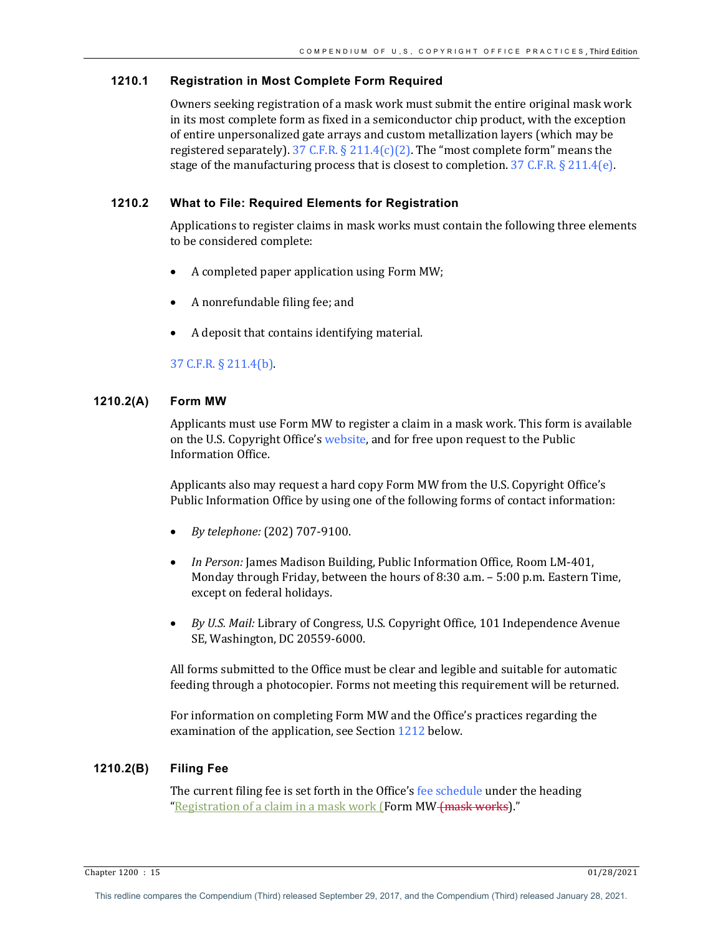# **1210.1 Registration in Most Complete Form Required**

Owners seeking registration of a mask work must submit the entire original mask work in its most complete form as fixed in a semiconductor chip product, with the exception of entire unpersonalized gate arrays and custom metallization layers (which may be registered separately).  $37 \text{ C.F.R.} \text{ § } 211.4(c)(2)$ . The "most complete form" means the stage of the manufacturing process that is closest to completion.  $37$  C.F.R. § 211.4(e).

# **1210.2 What to File: Required Elements for Registration**

Applications to register claims in mask works must contain the following three elements to be considered complete:

- A completed paper application using Form MW;
- A nonrefundable filing fee; and
- A deposit that contains identifying material.

# 37 C.F.R. § 211.4(b).

# **1210.2(A) Form MW**

Applicants must use Form MW to register a claim in a mask work. This form is available on the U.S. Copyright Office's website, and for free upon request to the Public Information Office.

Applicants also may request a hard copy Form MW from the U.S. Copyright Office's Public Information Office by using one of the following forms of contact information:

- *By telephone:* (202) 707-9100.
- In Person: James Madison Building, Public Information Office, Room LM-401, Monday through Friday, between the hours of 8:30 a.m. - 5:00 p.m. Eastern Time, except on federal holidays.
- *By U.S. Mail: Library of Congress, U.S. Copyright Office, 101 Independence Avenue* SE, Washington, DC 20559-6000.

All forms submitted to the Office must be clear and legible and suitable for automatic feeding through a photocopier. Forms not meeting this requirement will be returned.

For information on completing Form MW and the Office's practices regarding the examination of the application, see Section  $1212$  below.

# **1210.2(B) Filing Fee**

The current filing fee is set forth in the Office's fee schedule under the heading "Registration of a claim in a mask work (Form MW (mask works)."

Chapter 1200 : 15 01/28/2021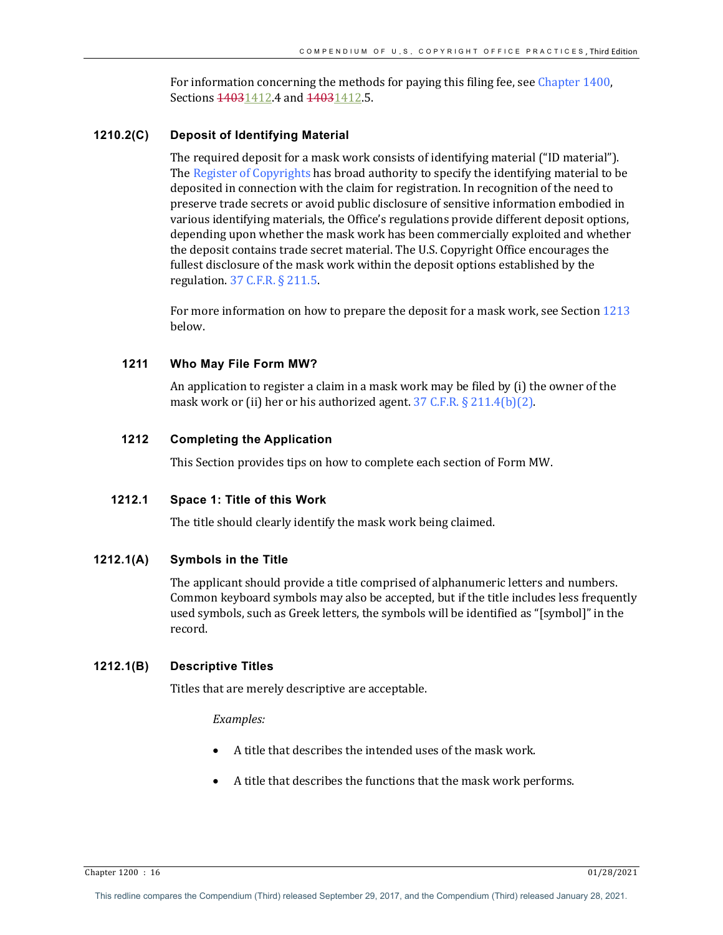For information concerning the methods for paying this filing fee, see Chapter 1400, Sections  $14031412.4$  and  $14031412.5$ .

## **1210.2(C) Deposit of Identifying Material**

The required deposit for a mask work consists of identifying material ("ID material"). The Register of Copyrights has broad authority to specify the identifying material to be deposited in connection with the claim for registration. In recognition of the need to preserve trade secrets or avoid public disclosure of sensitive information embodied in various identifying materials, the Office's regulations provide different deposit options, depending upon whether the mask work has been commercially exploited and whether the deposit contains trade secret material. The U.S. Copyright Office encourages the fullest disclosure of the mask work within the deposit options established by the regulation.  $37$  C.F.R.  $\S$  211.5.

For more information on how to prepare the deposit for a mask work, see Section 1213 below.

# **1211 Who May File Form MW?**

An application to register a claim in a mask work may be filed by  $(i)$  the owner of the mask work or (ii) her or his authorized agent.  $37$  C.F.R. § 211.4(b)(2).

## **1212 Completing the Application**

This Section provides tips on how to complete each section of Form MW.

# **1212.1 Space 1: Title of this Work**

The title should clearly identify the mask work being claimed.

## **1212.1(A) Symbols in the Title**

The applicant should provide a title comprised of alphanumeric letters and numbers. Common keyboard symbols may also be accepted, but if the title includes less frequently used symbols, such as Greek letters, the symbols will be identified as "[symbol]" in the record.

## **1212.1(B) Descriptive Titles**

Titles that are merely descriptive are acceptable.

## *Examples:*

- A title that describes the intended uses of the mask work.
- A title that describes the functions that the mask work performs.

 $\frac{61}{28/2021}$  Chapter 1200 : 16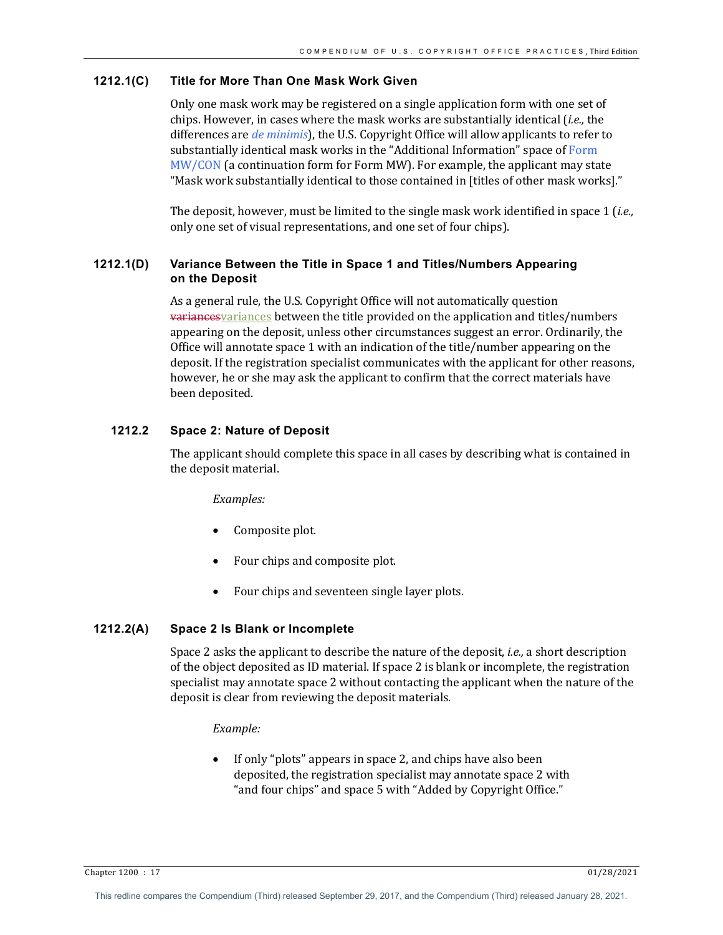#### **1212.1(C) Title for More Than One Mask Work Given**

Only one mask work may be registered on a single application form with one set of chips. However, in cases where the mask works are substantially identical (*i.e.*, the differences are *de minimis*), the U.S. Copyright Office will allow applicants to refer to substantially identical mask works in the "Additional Information" space of Form  $MW/CON$  (a continuation form for Form MW). For example, the applicant may state "Mask work substantially identical to those contained in [titles of other mask works]."

The deposit, however, must be limited to the single mask work identified in space 1 (*i.e.*, only one set of visual representations, and one set of four chips).

# **1212.1(D) Variance Between the Title in Space 1 and Titles/Numbers Appearing on the Deposit**

As a general rule, the U.S. Copyright Office will not automatically question **variances** variances between the title provided on the application and titles/numbers appearing on the deposit, unless other circumstances suggest an error. Ordinarily, the Office will annotate space 1 with an indication of the title/number appearing on the deposit. If the registration specialist communicates with the applicant for other reasons, however, he or she may ask the applicant to confirm that the correct materials have been deposited.

# **1212.2 Space 2: Nature of Deposit**

The applicant should complete this space in all cases by describing what is contained in the deposit material.

#### *Examples:*

- Composite plot.
- Four chips and composite plot.
- Four chips and seventeen single layer plots.

## **1212.2(A) Space 2 Is Blank or Incomplete**

Space 2 asks the applicant to describe the nature of the deposit, *i.e.*, a short description of the object deposited as ID material. If space 2 is blank or incomplete, the registration specialist may annotate space 2 without contacting the applicant when the nature of the deposit is clear from reviewing the deposit materials.

#### *Example:*

If only "plots" appears in space 2, and chips have also been deposited, the registration specialist may annotate space 2 with " and four chips" and space 5 with "Added by Copyright Office."

Chapter 1200 : 17 01/28/2021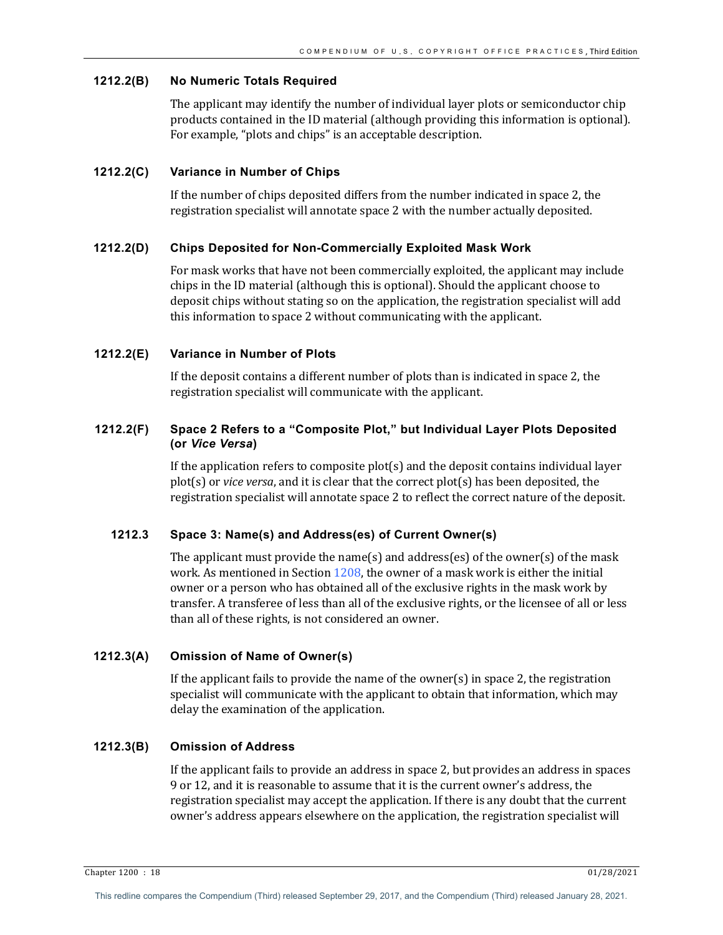## **1212.2(B) No Numeric Totals Required**

The applicant may identify the number of individual layer plots or semiconductor chip products contained in the ID material (although providing this information is optional). For example, "plots and chips" is an acceptable description.

## **1212.2(C) Variance in Number of Chips**

If the number of chips deposited differs from the number indicated in space 2, the registration specialist will annotate space 2 with the number actually deposited.

#### **1212.2(D) Chips Deposited for Non-Commercially Exploited Mask Work**

For mask works that have not been commercially exploited, the applicant may include chips in the ID material (although this is optional). Should the applicant choose to deposit chips without stating so on the application, the registration specialist will add this information to space 2 without communicating with the applicant.

#### **1212.2(E) Variance in Number of Plots**

If the deposit contains a different number of plots than is indicated in space 2, the registration specialist will communicate with the applicant.

## **1212.2(F) Space 2 Refers to a "Composite Plot," but Individual Layer Plots Deposited (or** *Vice Versa***)**

If the application refers to composite  $plot(s)$  and the deposit contains individual layer plot(s) or *vice versa*, and it is clear that the correct plot(s) has been deposited, the registration specialist will annotate space 2 to reflect the correct nature of the deposit.

# **1212.3 Space 3: Name(s) and Address(es) of Current Owner(s)**

The applicant must provide the name(s) and address(es) of the owner(s) of the mask work. As mentioned in Section  $1208$ , the owner of a mask work is either the initial owner or a person who has obtained all of the exclusive rights in the mask work by transfer. A transferee of less than all of the exclusive rights, or the licensee of all or less than all of these rights, is not considered an owner.

# **1212.3(A) Omission of Name of Owner(s)**

If the applicant fails to provide the name of the owner(s) in space 2, the registration specialist will communicate with the applicant to obtain that information, which may delay the examination of the application.

# **1212.3(B) Omission of Address**

If the applicant fails to provide an address in space 2, but provides an address in spaces 9 or 12, and it is reasonable to assume that it is the current owner's address, the registration specialist may accept the application. If there is any doubt that the current owner's address appears elsewhere on the application, the registration specialist will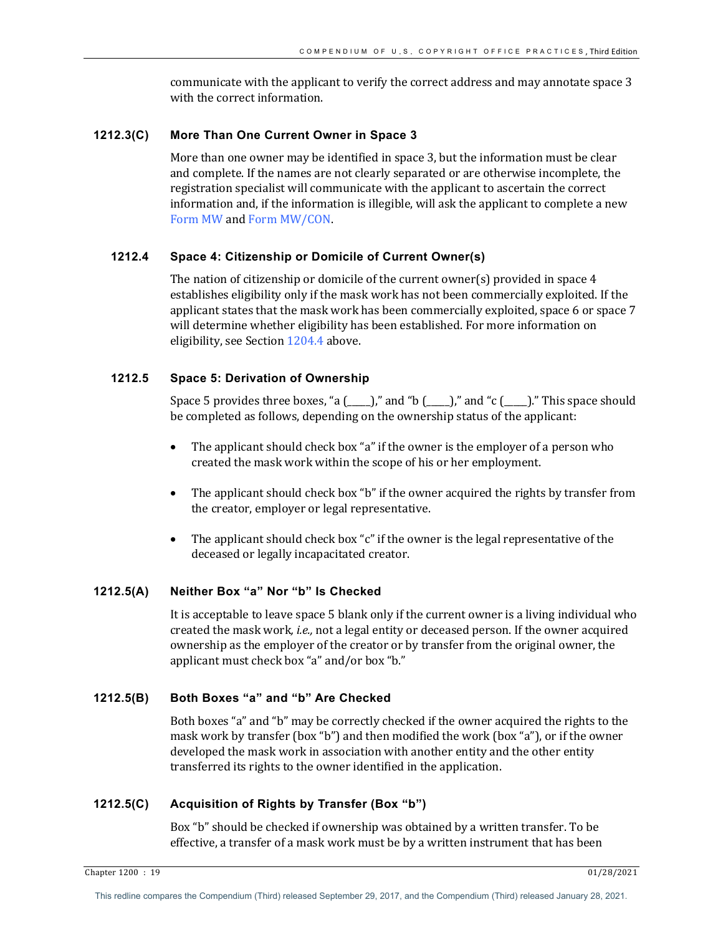communicate with the applicant to verify the correct address and may annotate space 3 with the correct information.

## **1212.3(C) More Than One Current Owner in Space 3**

More than one owner may be identified in space 3, but the information must be clear and complete. If the names are not clearly separated or are otherwise incomplete, the registration specialist will communicate with the applicant to ascertain the correct information and, if the information is illegible, will ask the applicant to complete a new Form MW and Form MW/CON.

# **1212.4 Space 4: Citizenship or Domicile of Current Owner(s)**

The nation of citizenship or domicile of the current owner(s) provided in space 4 establishes eligibility only if the mask work has not been commercially exploited. If the applicant states that the mask work has been commercially exploited, space 6 or space 7 will determine whether eligibility has been established. For more information on eligibility, see Section 1204.4 above.

# **1212.5 Space 5: Derivation of Ownership**

Space 5 provides three boxes, "a  $($ ,  $)$ "," and "b  $($ ,  $)$ "," and "c  $($ ,  $)$ "." This space should be completed as follows, depending on the ownership status of the applicant:

- The applicant should check box "a" if the owner is the employer of a person who created the mask work within the scope of his or her employment.
- The applicant should check box "b" if the owner acquired the rights by transfer from the creator, employer or legal representative.
- The applicant should check box "c" if the owner is the legal representative of the deceased or legally incapacitated creator.

# **1212.5(A) Neither Box "a" Nor "b" Is Checked**

It is acceptable to leave space 5 blank only if the current owner is a living individual who created the mask work, *i.e.*, not a legal entity or deceased person. If the owner acquired ownership as the employer of the creator or by transfer from the original owner, the applicant must check box "a" and/or box "b."

## **1212.5(B) Both Boxes "a" and "b" Are Checked**

Both boxes "a" and "b" may be correctly checked if the owner acquired the rights to the mask work by transfer (box "b") and then modified the work (box "a"), or if the owner developed the mask work in association with another entity and the other entity transferred its rights to the owner identified in the application.

# **1212.5(C) Acquisition of Rights by Transfer (Box "b")**

Box "b" should be checked if ownership was obtained by a written transfer. To be effective, a transfer of a mask work must be by a written instrument that has been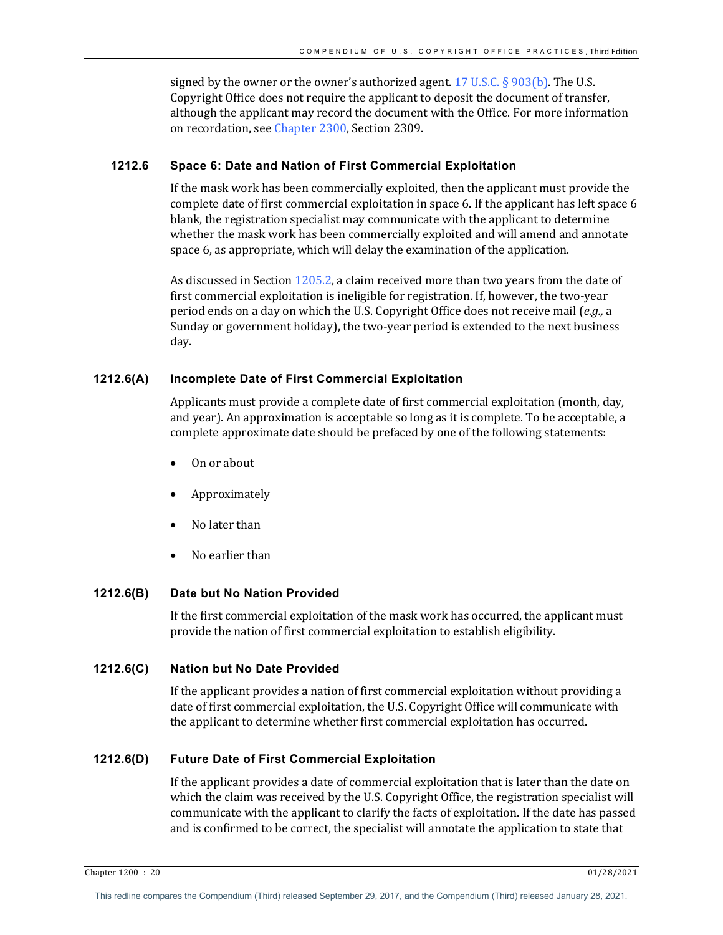signed by the owner or the owner's authorized agent.  $17 \text{ U.S.C.} \S$  903(b). The U.S. Copyright Office does not require the applicant to deposit the document of transfer, although the applicant may record the document with the Office. For more information on recordation, see Chapter 2300, Section 2309.

## **1212.6 Space 6: Date and Nation of First Commercial Exploitation**

If the mask work has been commercially exploited, then the applicant must provide the complete date of first commercial exploitation in space 6. If the applicant has left space 6 blank, the registration specialist may communicate with the applicant to determine whether the mask work has been commercially exploited and will amend and annotate space 6, as appropriate, which will delay the examination of the application.

As discussed in Section  $1205.2$ , a claim received more than two years from the date of first commercial exploitation is ineligible for registration. If, however, the two-year period ends on a day on which the U.S. Copyright Office does not receive mail (*e.g.*, a Sunday or government holiday), the two-year period is extended to the next business day. 

#### **1212.6(A) Incomplete Date of First Commercial Exploitation**

Applicants must provide a complete date of first commercial exploitation (month, day, and year). An approximation is acceptable so long as it is complete. To be acceptable, a complete approximate date should be prefaced by one of the following statements:

- On or about
- Approximately
- No later than
- No earlier than

#### **1212.6(B) Date but No Nation Provided**

If the first commercial exploitation of the mask work has occurred, the applicant must provide the nation of first commercial exploitation to establish eligibility.

## **1212.6(C) Nation but No Date Provided**

If the applicant provides a nation of first commercial exploitation without providing a date of first commercial exploitation, the U.S. Copyright Office will communicate with the applicant to determine whether first commercial exploitation has occurred.

## **1212.6(D) Future Date of First Commercial Exploitation**

If the applicant provides a date of commercial exploitation that is later than the date on which the claim was received by the U.S. Copyright Office, the registration specialist will communicate with the applicant to clarify the facts of exploitation. If the date has passed and is confirmed to be correct, the specialist will annotate the application to state that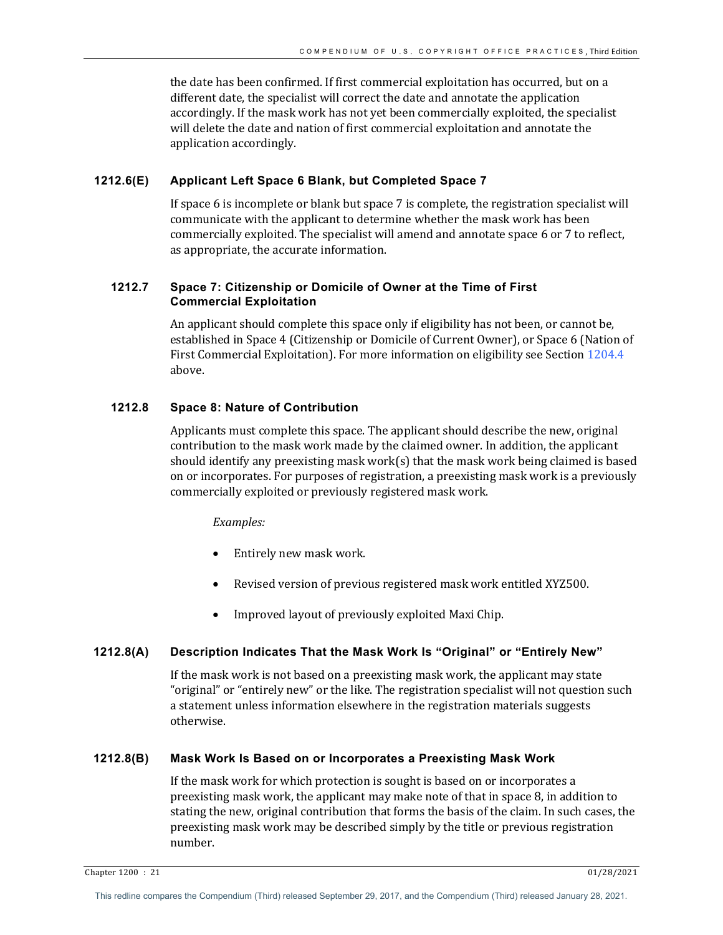the date has been confirmed. If first commercial exploitation has occurred, but on a different date, the specialist will correct the date and annotate the application accordingly. If the mask work has not yet been commercially exploited, the specialist will delete the date and nation of first commercial exploitation and annotate the application accordingly.

## **1212.6(E) Applicant Left Space 6 Blank, but Completed Space 7**

If space 6 is incomplete or blank but space 7 is complete, the registration specialist will communicate with the applicant to determine whether the mask work has been commercially exploited. The specialist will amend and annotate space 6 or 7 to reflect, as appropriate, the accurate information.

# **1212.7 Space 7: Citizenship or Domicile of Owner at the Time of First Commercial Exploitation**

An applicant should complete this space only if eligibility has not been, or cannot be, established in Space 4 (Citizenship or Domicile of Current Owner), or Space 6 (Nation of First Commercial Exploitation). For more information on eligibility see Section  $1204.4$ above.

# **1212.8 Space 8: Nature of Contribution**

Applicants must complete this space. The applicant should describe the new, original contribution to the mask work made by the claimed owner. In addition, the applicant should identify any preexisting mask work(s) that the mask work being claimed is based on or incorporates. For purposes of registration, a preexisting mask work is a previously commercially exploited or previously registered mask work.

#### *Examples:*

- Entirely new mask work.
- Revised version of previous registered mask work entitled XYZ500.
- Improved layout of previously exploited Maxi Chip.

## **1212.8(A) Description Indicates That the Mask Work Is "Original" or "Entirely New"**

If the mask work is not based on a preexisting mask work, the applicant may state "original" or "entirely new" or the like. The registration specialist will not question such a statement unless information elsewhere in the registration materials suggests otherwise. 

#### **1212.8(B) Mask Work Is Based on or Incorporates a Preexisting Mask Work**

If the mask work for which protection is sought is based on or incorporates a preexisting mask work, the applicant may make note of that in space 8, in addition to stating the new, original contribution that forms the basis of the claim. In such cases, the preexisting mask work may be described simply by the title or previous registration number.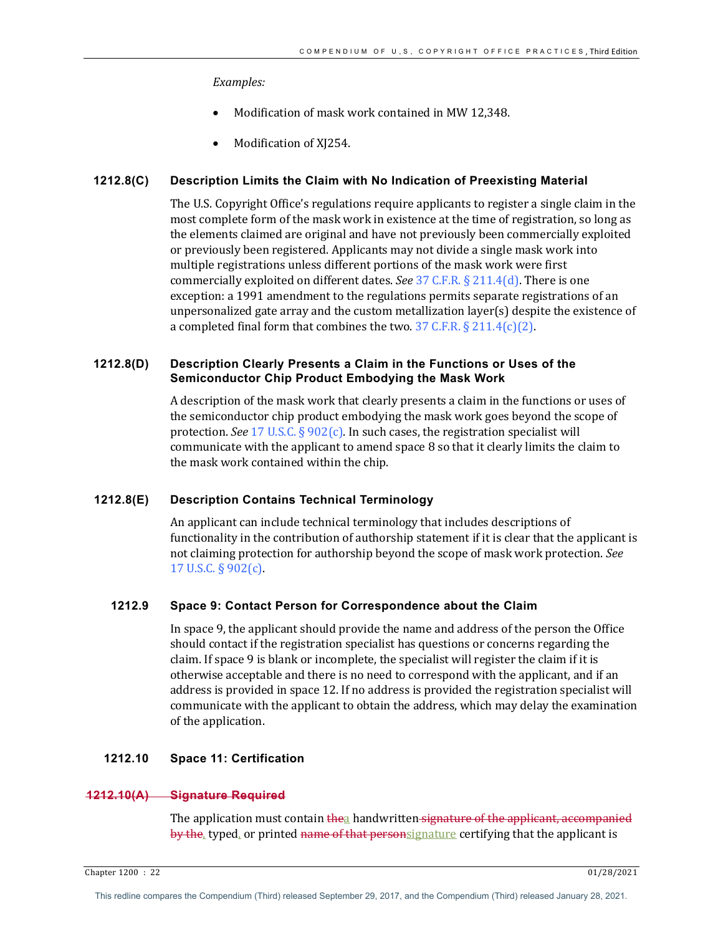#### *Examples:*

- Modification of mask work contained in MW 12.348.
- Modification of XJ254.

#### **1212.8(C) Description Limits the Claim with No Indication of Preexisting Material**

The U.S. Copyright Office's regulations require applicants to register a single claim in the most complete form of the mask work in existence at the time of registration, so long as the elements claimed are original and have not previously been commercially exploited or previously been registered. Applicants may not divide a single mask work into multiple registrations unless different portions of the mask work were first commercially exploited on different dates. *See* 37 C.F.R. § 211.4(d). There is one exception: a 1991 amendment to the regulations permits separate registrations of an unpersonalized gate array and the custom metallization  $layer(s)$  despite the existence of a completed final form that combines the two. 37 C.F.R.  $\S 211.4(c)(2)$ .

## **1212.8(D) Description Clearly Presents a Claim in the Functions or Uses of the Semiconductor Chip Product Embodying the Mask Work**

A description of the mask work that clearly presents a claim in the functions or uses of the semiconductor chip product embodying the mask work goes beyond the scope of protection. *See* 17 U.S.C.  $\S 902(c)$ . In such cases, the registration specialist will communicate with the applicant to amend space  $8$  so that it clearly limits the claim to the mask work contained within the chip.

## **1212.8(E) Description Contains Technical Terminology**

An applicant can include technical terminology that includes descriptions of functionality in the contribution of authorship statement if it is clear that the applicant is not claiming protection for authorship beyond the scope of mask work protection. *See* 17 U.S.C. § 902(c).

# **1212.9 Space 9: Contact Person for Correspondence about the Claim**

In space 9, the applicant should provide the name and address of the person the Office should contact if the registration specialist has questions or concerns regarding the claim. If space 9 is blank or incomplete, the specialist will register the claim if it is otherwise acceptable and there is no need to correspond with the applicant, and if an address is provided in space 12. If no address is provided the registration specialist will communicate with the applicant to obtain the address, which may delay the examination of the application.

## **1212.10 Space 11: Certification**

#### **1212.10(A) Signature Required**

The application must contain thea handwritten signature of the applicant, accompanied by the, typed, or printed name of that personsignature certifying that the applicant is

Chapter 1200 : 22 01/28/2021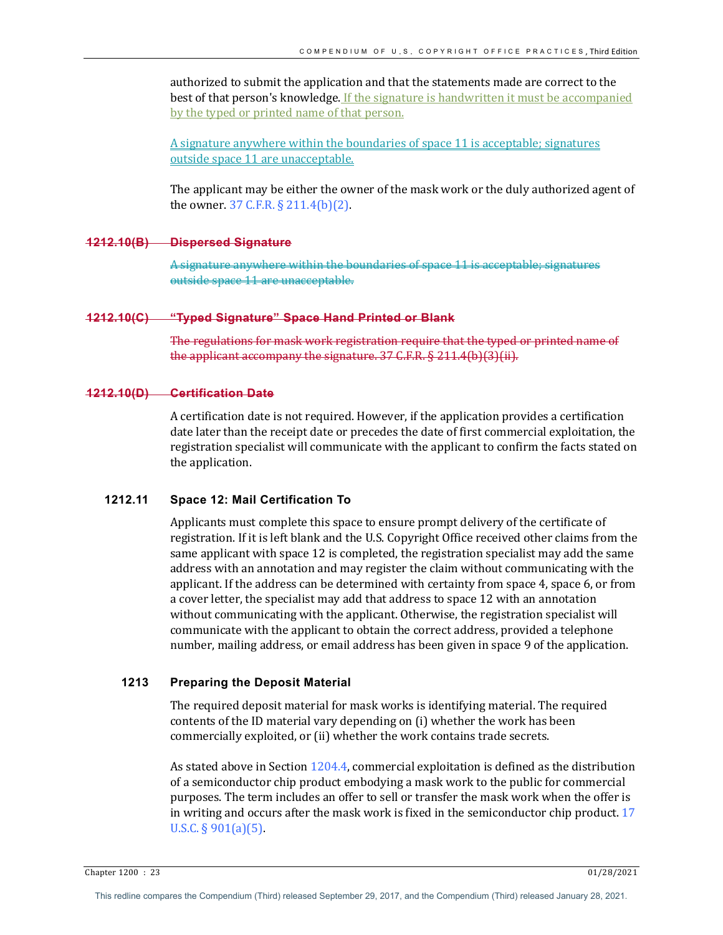authorized to submit the application and that the statements made are correct to the best of that person's knowledge. If the signature is handwritten it must be accompanied by the typed or printed name of that person.

A signature anywhere within the boundaries of space 11 is acceptable; signatures outside space 11 are unacceptable.

The applicant may be either the owner of the mask work or the duly authorized agent of the owner.  $37$  C.F.R.  $\S 211.4(b)(2)$ .

#### **1212.10(B) Dispersed Signature**

A signature anywhere within the boundaries of space outside space 11 are unacceptable.

## **1212.10(C) "Typed Signature" Space Hand Printed or Blank**

The regulations for mask work registration require that the typed or printed name of the applicant accompany the signature.  $37$  C.F.R. § 211.4(b)(3)(ii).

## **1212.10(D) Certification Date**

A certification date is not required. However, if the application provides a certification date later than the receipt date or precedes the date of first commercial exploitation, the registration specialist will communicate with the applicant to confirm the facts stated on the application.

# **1212.11 Space 12: Mail Certification To**

Applicants must complete this space to ensure prompt delivery of the certificate of registration. If it is left blank and the U.S. Copyright Office received other claims from the same applicant with space 12 is completed, the registration specialist may add the same address with an annotation and may register the claim without communicating with the applicant. If the address can be determined with certainty from space 4, space 6, or from a cover letter, the specialist may add that address to space 12 with an annotation without communicating with the applicant. Otherwise, the registration specialist will communicate with the applicant to obtain the correct address, provided a telephone number, mailing address, or email address has been given in space 9 of the application.

#### **1213 Preparing the Deposit Material**

The required deposit material for mask works is identifying material. The required contents of the ID material vary depending on (i) whether the work has been commercially exploited, or (ii) whether the work contains trade secrets.

As stated above in Section  $1204.4$ , commercial exploitation is defined as the distribution of a semiconductor chip product embodying a mask work to the public for commercial purposes. The term includes an offer to sell or transfer the mask work when the offer is in writing and occurs after the mask work is fixed in the semiconductor chip product.  $17$ U.S.C.  $\S 901(a)(5)$ .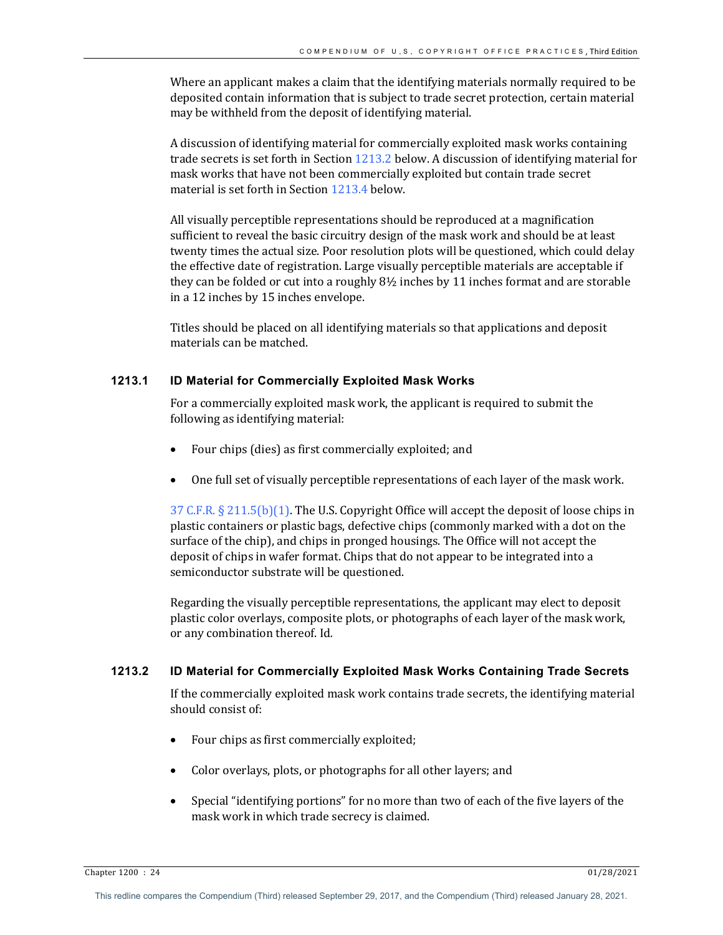Where an applicant makes a claim that the identifying materials normally required to be deposited contain information that is subject to trade secret protection, certain material may be withheld from the deposit of identifying material.

A discussion of identifying material for commercially exploited mask works containing trade secrets is set forth in Section  $1213.2$  below. A discussion of identifying material for mask works that have not been commercially exploited but contain trade secret material is set forth in Section  $1213.4$  below.

All visually perceptible representations should be reproduced at a magnification sufficient to reveal the basic circuitry design of the mask work and should be at least twenty times the actual size. Poor resolution plots will be questioned, which could delay the effective date of registration. Large visually perceptible materials are acceptable if they can be folded or cut into a roughly  $8\frac{1}{2}$  inches by 11 inches format and are storable in a 12 inches by 15 inches envelope.

Titles should be placed on all identifying materials so that applications and deposit materials can be matched.

# **1213.1 ID Material for Commercially Exploited Mask Works**

For a commercially exploited mask work, the applicant is required to submit the following as identifying material:

- Four chips (dies) as first commercially exploited; and
- One full set of visually perceptible representations of each layer of the mask work.

37 C.F.R.  $\S 211.5(b)(1)$ . The U.S. Copyright Office will accept the deposit of loose chips in plastic containers or plastic bags, defective chips (commonly marked with a dot on the surface of the chip), and chips in pronged housings. The Office will not accept the deposit of chips in wafer format. Chips that do not appear to be integrated into a semiconductor substrate will be questioned.

Regarding the visually perceptible representations, the applicant may elect to deposit plastic color overlays, composite plots, or photographs of each layer of the mask work, or any combination thereof. Id.

# **1213.2 ID Material for Commercially Exploited Mask Works Containing Trade Secrets**

If the commercially exploited mask work contains trade secrets, the identifying material should consist of:

- Four chips as first commercially exploited;
- Color overlays, plots, or photographs for all other layers; and
- Special "identifying portions" for no more than two of each of the five layers of the mask work in which trade secrecy is claimed.

 $\frac{1}{28}/2021$  01/28/2021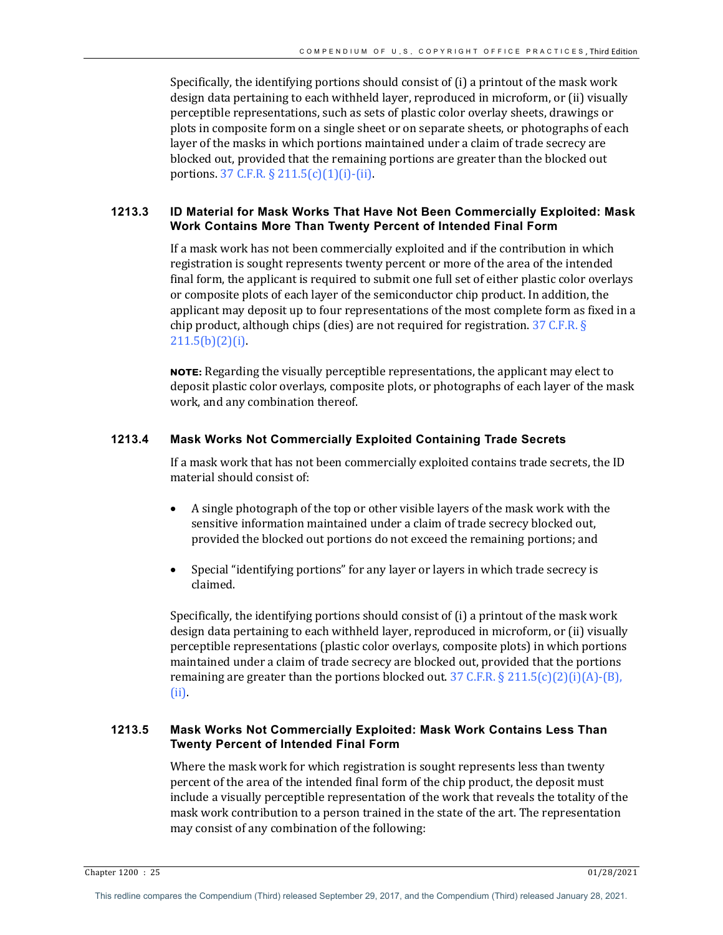Specifically, the identifying portions should consist of  $(i)$  a printout of the mask work design data pertaining to each withheld layer, reproduced in microform, or (ii) visually perceptible representations, such as sets of plastic color overlay sheets, drawings or plots in composite form on a single sheet or on separate sheets, or photographs of each layer of the masks in which portions maintained under a claim of trade secrecy are blocked out, provided that the remaining portions are greater than the blocked out portions. 37 C.F.R.  $\S 211.5(c)(1)(i)$ -(ii).

# **1213.3 ID Material for Mask Works That Have Not Been Commercially Exploited: Mask Work Contains More Than Twenty Percent of Intended Final Form**

If a mask work has not been commercially exploited and if the contribution in which registration is sought represents twenty percent or more of the area of the intended final form, the applicant is required to submit one full set of either plastic color overlays or composite plots of each layer of the semiconductor chip product. In addition, the applicant may deposit up to four representations of the most complete form as fixed in a chip product, although chips (dies) are not required for registration.  $37$  C.F.R. §  $211.5(b)(2)(i)$ .

**NOTE:** Regarding the visually perceptible representations, the applicant may elect to deposit plastic color overlays, composite plots, or photographs of each layer of the mask work, and any combination thereof.

# **1213.4 Mask Works Not Commercially Exploited Containing Trade Secrets**

If a mask work that has not been commercially exploited contains trade secrets, the ID material should consist of:

- A single photograph of the top or other visible layers of the mask work with the sensitive information maintained under a claim of trade secrecy blocked out, provided the blocked out portions do not exceed the remaining portions; and
- Special "identifying portions" for any layer or layers in which trade secrecy is claimed.

Specifically, the identifying portions should consist of  $(i)$  a printout of the mask work design data pertaining to each withheld layer, reproduced in microform, or (ii) visually perceptible representations (plastic color overlays, composite plots) in which portions maintained under a claim of trade secrecy are blocked out, provided that the portions remaining are greater than the portions blocked out.  $37 \text{ C.F.R.} \$ 211.5(c)(2)(i)(A) - (B),$ (ii).

# **1213.5 Mask Works Not Commercially Exploited: Mask Work Contains Less Than Twenty Percent of Intended Final Form**

Where the mask work for which registration is sought represents less than twenty percent of the area of the intended final form of the chip product, the deposit must include a visually perceptible representation of the work that reveals the totality of the mask work contribution to a person trained in the state of the art. The representation may consist of any combination of the following: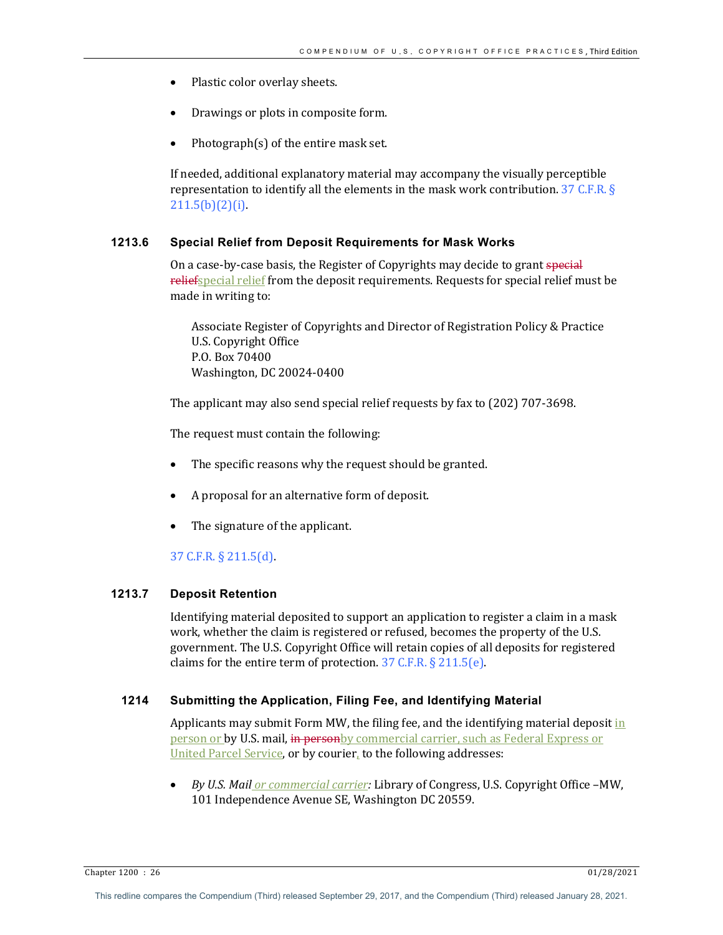- Plastic color overlay sheets.
- Drawings or plots in composite form.
- Photograph $(s)$  of the entire mask set.

If needed, additional explanatory material may accompany the visually perceptible representation to identify all the elements in the mask work contribution.  $37 \text{ C.F.R. }$  §  $211.5(b)(2)(i)$ .

## **1213.6 Special Relief from Deposit Requirements for Mask Works**

On a case-by-case basis, the Register of Copyrights may decide to grant special reliefspecial relief from the deposit requirements. Requests for special relief must be made in writing to:

Associate Register of Copyrights and Director of Registration Policy & Practice U.S. Copyright Office P.O. Box 70400 Washington, DC 20024-0400

The applicant may also send special relief requests by fax to (202) 707-3698.

The request must contain the following:

- The specific reasons why the request should be granted.
- A proposal for an alternative form of deposit.
- The signature of the applicant.

37 C.F.R. § 211.5(d).

# **1213.7 Deposit Retention**

Identifying material deposited to support an application to register a claim in a mask work, whether the claim is registered or refused, becomes the property of the U.S. government. The U.S. Copyright Office will retain copies of all deposits for registered claims for the entire term of protection.  $37$  C.F.R. § 211.5(e).

# **1214 Submitting the Application, Filing Fee, and Identifying Material**

Applicants may submit Form MW, the filing fee, and the identifying material deposit in person or by U.S. mail, in personby commercial carrier, such as Federal Express or United Parcel Service, or by courier, to the following addresses:

By U.S. Mail *or commercial carrier:* Library of Congress, U.S. Copyright Office -MW, 101 Independence Avenue SE, Washington DC 20559.

Chapter 1200 : 26 01/28/2021